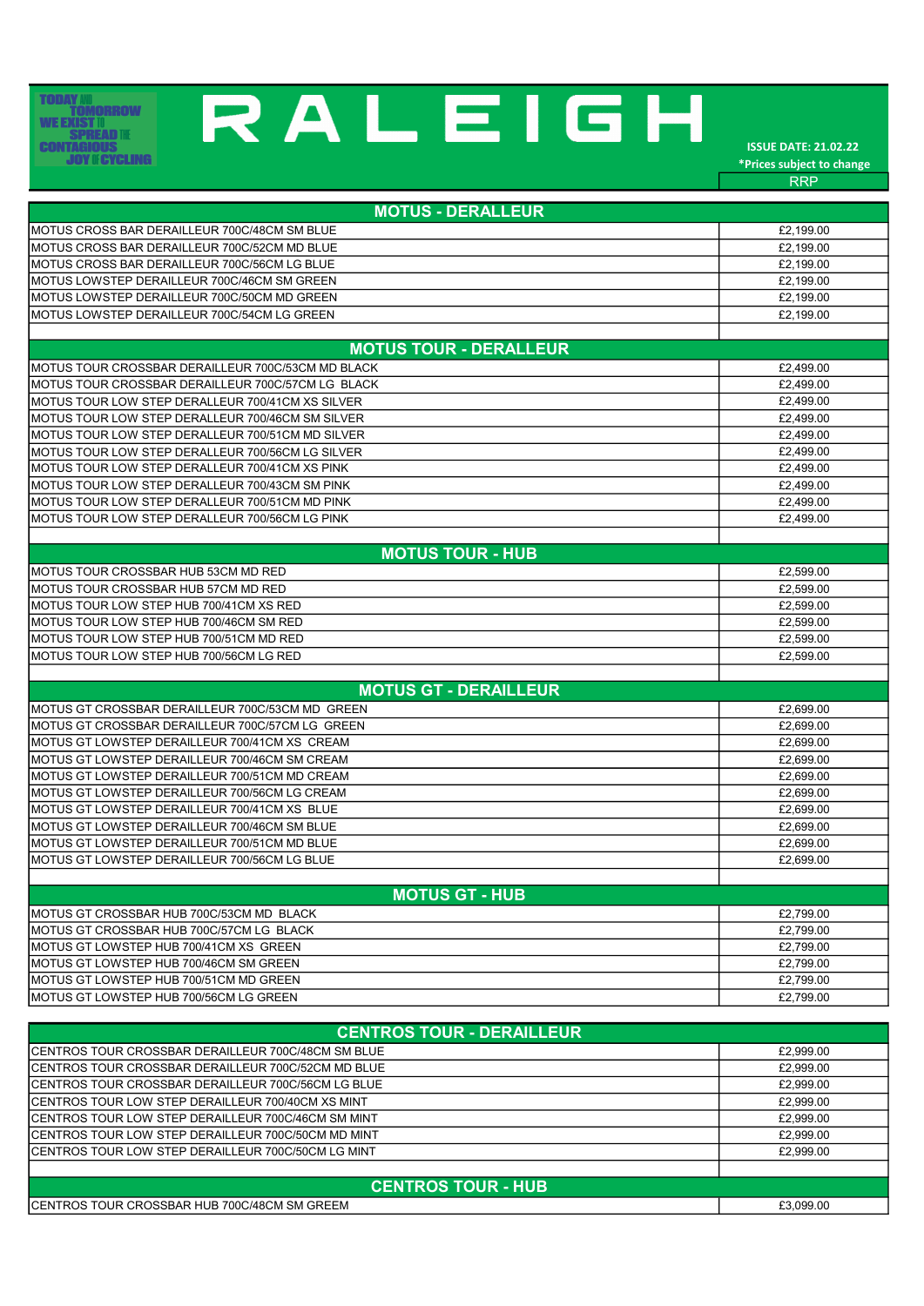## **TODAY MU<br>
TOMORROW<br>
WE EXIST II<br>
CONTAGIOUS<br>
JOY II CYCLING**

## RALEIGH

ISSUE DATE: 21.02.22 \*Prices subject to change RRP

| <b>MOTUS - DERALLEUR</b>                          |           |
|---------------------------------------------------|-----------|
| IMOTUS CROSS BAR DERAILLEUR 700C/48CM SM BLUE     | £2,199.00 |
| MOTUS CROSS BAR DERAILLEUR 700C/52CM MD BLUE      | £2,199.00 |
| MOTUS CROSS BAR DERAILLEUR 700C/56CM LG BLUE      | £2,199.00 |
| MOTUS LOWSTEP DERAILLEUR 700C/46CM SM GREEN       | £2,199.00 |
| MOTUS LOWSTEP DERAILLEUR 700C/50CM MD GREEN       | £2,199.00 |
| MOTUS LOWSTEP DERAILLEUR 700C/54CM LG GREEN       | £2,199.00 |
|                                                   |           |
| <b>MOTUS TOUR - DERALLEUR</b>                     |           |
| MOTUS TOUR CROSSBAR DERAILLEUR 700C/53CM MD BLACK | £2,499.00 |
| MOTUS TOUR CROSSBAR DERAILLEUR 700C/57CM LG BLACK | £2,499.00 |
| MOTUS TOUR LOW STEP DERALLEUR 700/41CM XS SILVER  | £2,499.00 |
| MOTUS TOUR LOW STEP DERALLEUR 700/46CM SM SILVER  | £2,499.00 |
| MOTUS TOUR LOW STEP DERALLEUR 700/51CM MD SILVER  | £2.499.00 |
| MOTUS TOUR LOW STEP DERALLEUR 700/56CM LG SILVER  | £2,499.00 |
| MOTUS TOUR LOW STEP DERALLEUR 700/41CM XS PINK    | £2,499.00 |
| MOTUS TOUR LOW STEP DERALLEUR 700/43CM SM PINK    | £2,499.00 |
| MOTUS TOUR LOW STEP DERALLEUR 700/51CM MD PINK    | £2,499.00 |
| MOTUS TOUR LOW STEP DERALLEUR 700/56CM LG PINK    | £2,499.00 |
|                                                   |           |
| <b>MOTUS TOUR - HUB</b>                           |           |
| MOTUS TOUR CROSSBAR HUB 53CM MD RED               | £2,599.00 |
| MOTUS TOUR CROSSBAR HUB 57CM MD RED               | £2,599.00 |
| MOTUS TOUR LOW STEP HUB 700/41CM XS RED           | £2,599.00 |
| MOTUS TOUR LOW STEP HUB 700/46CM SM RED           | £2,599.00 |
| MOTUS TOUR LOW STEP HUB 700/51CM MD RED           | £2,599.00 |
| MOTUS TOUR LOW STEP HUB 700/56CM LG RED           | £2,599.00 |
|                                                   |           |
| <b>MOTUS GT - DERAILLEUR</b>                      |           |
| MOTUS GT CROSSBAR DERAILLEUR 700C/53CM MD_GREEN   | £2,699.00 |
| MOTUS GT CROSSBAR DERAILLEUR 700C/57CM LG GREEN   | £2.699.00 |
| MOTUS GT LOWSTEP DERAILLEUR 700/41CM XS CREAM     | £2,699.00 |
| MOTUS GT LOWSTEP DERAILLEUR 700/46CM SM CREAM     | £2,699.00 |
| MOTUS GT LOWSTEP DERAILLEUR 700/51CM MD CREAM     | £2,699.00 |
| MOTUS GT LOWSTEP DERAILLEUR 700/56CM LG CREAM     | £2,699.00 |
| MOTUS GT LOWSTEP DERAILLEUR 700/41CM XS BLUE      | £2,699.00 |
| MOTUS GT LOWSTEP DERAILLEUR 700/46CM SM BLUE      | £2,699.00 |
| MOTUS GT LOWSTEP DERAILLEUR 700/51CM MD BLUE      | £2,699.00 |
| MOTUS GT LOWSTEP DERAILLEUR 700/56CM LG BLUE      | £2,699.00 |
|                                                   |           |
| <b>MOTUS GT - HUB</b>                             |           |
| MOTUS GT CROSSBAR HUB 700C/53CM MD_BLACK          | £2,799.00 |
| MOTUS GT CROSSBAR HUB 700C/57CM LG BLACK          | £2,799.00 |
| MOTUS GT LOWSTEP HUB 700/41CM XS GREEN            | £2,799.00 |
| MOTUS GT LOWSTEP HUB 700/46CM SM GREEN            | £2,799.00 |
| MOTUS GT LOWSTEP HUB 700/51CM MD GREEN            | £2,799.00 |
| MOTUS GT LOWSTEP HUB 700/56CM LG GREEN            | £2,799.00 |

| <b>CENTROS TOUR - DERAILLEUR</b>                     |           |
|------------------------------------------------------|-----------|
| ICENTROS TOUR CROSSBAR DERAILLEUR 700C/48CM SM BLUE. | £2,999.00 |
| ICENTROS TOUR CROSSBAR DERAILLEUR 700C/52CM MD BLUE  | £2,999.00 |
| ICENTROS TOUR CROSSBAR DERAILLEUR 700C/56CM LG BLUE  | £2,999.00 |
| ICENTROS TOUR LOW STEP DERAILLEUR 700/40CM XS MINT   | £2,999.00 |
| ICENTROS TOUR LOW STEP DERAILLEUR 700C/46CM SM MINT  | £2,999.00 |
| ICENTROS TOUR LOW STEP DERAILLEUR 700C/50CM MD MINT  | £2,999.00 |
| ICENTROS TOUR LOW STEP DERAILLEUR 700C/50CM LG MINT  | £2,999.00 |
|                                                      |           |
| <b>CENTROS TOUR - HUB</b>                            |           |
| ICENTROS TOUR CROSSBAR HUB 700C/48CM SM GREEM        | £3,099.00 |